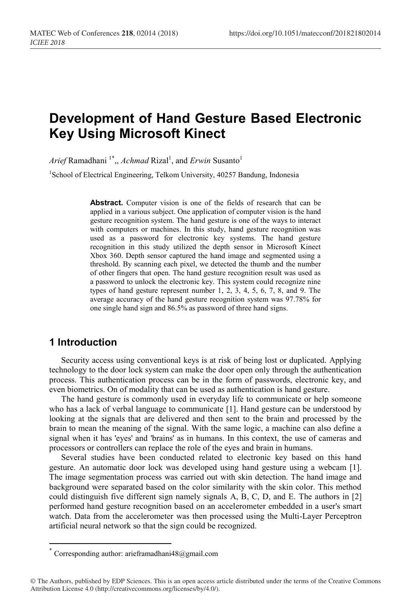# **Development of Hand Gesture Based Electronic Key Using Microsoft Kinect**

*Arief* Ramadhani<sup>1\*</sup>,, *Achmad* Rizal<sup>1</sup>, and *Erwin* Susanto<sup>1</sup>

<sup>1</sup>School of Electrical Engineering, Telkom University, 40257 Bandung, Indonesia

**Abstract.** Computer vision is one of the fields of research that can be applied in a various subject. One application of computer vision is the hand gesture recognition system. The hand gesture is one of the ways to interact with computers or machines. In this study, hand gesture recognition was used as a password for electronic key systems. The hand gesture recognition in this study utilized the depth sensor in Microsoft Kinect Xbox 360. Depth sensor captured the hand image and segmented using a threshold. By scanning each pixel, we detected the thumb and the number of other fingers that open. The hand gesture recognition result was used as a password to unlock the electronic key. This system could recognize nine types of hand gesture represent number 1, 2, 3, 4, 5, 6, 7, 8, and 9. The average accuracy of the hand gesture recognition system was 97.78% for one single hand sign and 86.5% as password of three hand signs.

## **1 Introduction**

Security access using conventional keys is at risk of being lost or duplicated. Applying technology to the door lock system can make the door open only through the authentication process. This authentication process can be in the form of passwords, electronic key, and even biometrics. On of modality that can be used as authentication is hand gesture.

The hand gesture is commonly used in everyday life to communicate or help someone who has a lack of verbal language to communicate [1]. Hand gesture can be understood by looking at the signals that are delivered and then sent to the brain and processed by the brain to mean the meaning of the signal. With the same logic, a machine can also define a signal when it has 'eyes' and 'brains' as in humans. In this context, the use of cameras and processors or controllers can replace the role of the eyes and brain in humans.

Several studies have been conducted related to electronic key based on this hand gesture. An automatic door lock was developed using hand gesture using a webcam [1]. The image segmentation process was carried out with skin detection. The hand image and background were separated based on the color similarity with the skin color. This method could distinguish five different sign namely signals A, B, C, D, and E. The authors in [2] performed hand gesture recognition based on an accelerometer embedded in a user's smart watch. Data from the accelerometer was then processed using the Multi-Layer Perceptron artificial neural network so that the sign could be recognized.

 <sup>\*</sup> Corresponding author: arieframadhani48@gmail.com

<sup>©</sup> The Authors, published by EDP Sciences. This is an open access article distributed under the terms of the Creative Commons Attribution License 4.0 (http://creativecommons.org/licenses/by/4.0/).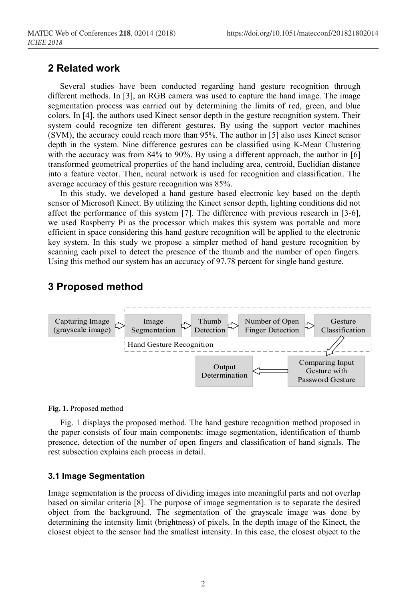### **2 Related work**

Several studies have been conducted regarding hand gesture recognition through different methods. In [3], an RGB camera was used to capture the hand image. The image segmentation process was carried out by determining the limits of red, green, and blue colors. In [4], the authors used Kinect sensor depth in the gesture recognition system. Their system could recognize ten different gestures. By using the support vector machines (SVM), the accuracy could reach more than 95%. The author in [5] also uses Kinect sensor depth in the system. Nine difference gestures can be classified using K-Mean Clustering with the accuracy was from 84% to 90%. By using a different approach, the author in [6] transformed geometrical properties of the hand including area, centroid, Euclidian distance into a feature vector. Then, neural network is used for recognition and classification. The average accuracy of this gesture recognition was 85%.

In this study, we developed a hand gesture based electronic key based on the depth sensor of Microsoft Kinect. By utilizing the Kinect sensor depth, lighting conditions did not affect the performance of this system [7]. The difference with previous research in [3-6], we used Raspberry Pi as the processor which makes this system was portable and more efficient in space considering this hand gesture recognition will be applied to the electronic key system. In this study we propose a simpler method of hand gesture recognition by scanning each pixel to detect the presence of the thumb and the number of open fingers. Using this method our system has an accuracy of 97.78 percent for single hand gesture.

## **3 Proposed method**



**Fig. 1.** Proposed method

Fig. 1 displays the proposed method. The hand gesture recognition method proposed in the paper consists of four main components: image segmentation, identification of thumb presence, detection of the number of open fingers and classification of hand signals. The rest subsection explains each process in detail.

#### **3.1 Image Segmentation**

Image segmentation is the process of dividing images into meaningful parts and not overlap based on similar criteria [8]. The purpose of image segmentation is to separate the desired object from the background. The segmentation of the grayscale image was done by determining the intensity limit (brightness) of pixels. In the depth image of the Kinect, the closest object to the sensor had the smallest intensity. In this case, the closest object to the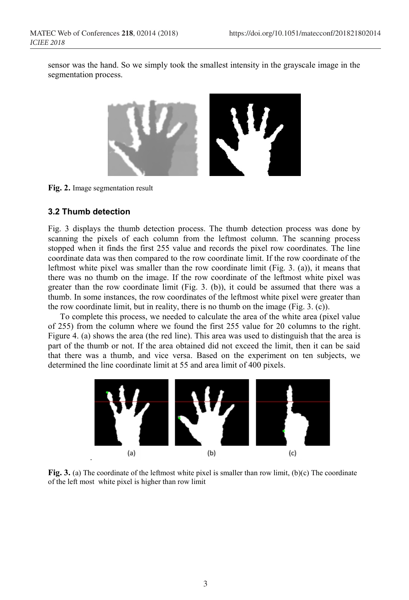sensor was the hand. So we simply took the smallest intensity in the grayscale image in the segmentation process.



**Fig. 2.** Image segmentation result

#### **3.2 Thumb detection**

Fig. 3 displays the thumb detection process. The thumb detection process was done by scanning the pixels of each column from the leftmost column. The scanning process stopped when it finds the first 255 value and records the pixel row coordinates. The line coordinate data was then compared to the row coordinate limit. If the row coordinate of the leftmost white pixel was smaller than the row coordinate limit (Fig. 3. (a)), it means that there was no thumb on the image. If the row coordinate of the leftmost white pixel was greater than the row coordinate limit (Fig. 3. (b)), it could be assumed that there was a thumb. In some instances, the row coordinates of the leftmost white pixel were greater than the row coordinate limit, but in reality, there is no thumb on the image (Fig. 3. (c)).

To complete this process, we needed to calculate the area of the white area (pixel value of 255) from the column where we found the first 255 value for 20 columns to the right. Figure 4. (a) shows the area (the red line). This area was used to distinguish that the area is part of the thumb or not. If the area obtained did not exceed the limit, then it can be said that there was a thumb, and vice versa. Based on the experiment on ten subjects, we determined the line coordinate limit at 55 and area limit of 400 pixels.



**Fig. 3.** (a) The coordinate of the leftmost white pixel is smaller than row limit, (b)(c) The coordinate of the left most white pixel is higher than row limit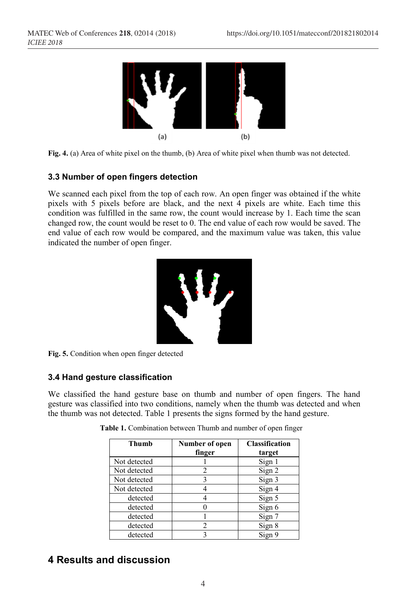

**Fig. 4.** (a) Area of white pixel on the thumb, (b) Area of white pixel when thumb was not detected.

#### **3.3 Number of open fingers detection**

We scanned each pixel from the top of each row. An open finger was obtained if the white pixels with 5 pixels before are black, and the next 4 pixels are white. Each time this condition was fulfilled in the same row, the count would increase by 1. Each time the scan changed row, the count would be reset to 0. The end value of each row would be saved. The end value of each row would be compared, and the maximum value was taken, this value indicated the number of open finger.



**Fig. 5.** Condition when open finger detected

#### **3.4 Hand gesture classification**

We classified the hand gesture base on thumb and number of open fingers. The hand gesture was classified into two conditions, namely when the thumb was detected and when the thumb was not detected. Table 1 presents the signs formed by the hand gesture.

| Thumb        | Number of open<br>finger | <b>Classification</b><br>target |
|--------------|--------------------------|---------------------------------|
| Not detected |                          | Sign 1                          |
| Not detected | 2                        | Sign 2                          |
| Not detected | ٩                        | Sign 3                          |
| Not detected |                          | Sign 4                          |
| detected     |                          | Sign 5                          |
| detected     |                          | Sign 6                          |
| detected     |                          | Sign 7                          |
| detected     | $\mathfrak{D}$           | Sign 8                          |
| detected     |                          | Sign 9                          |

**Table 1.** Combination between Thumb and number of open finger

# **4 Results and discussion**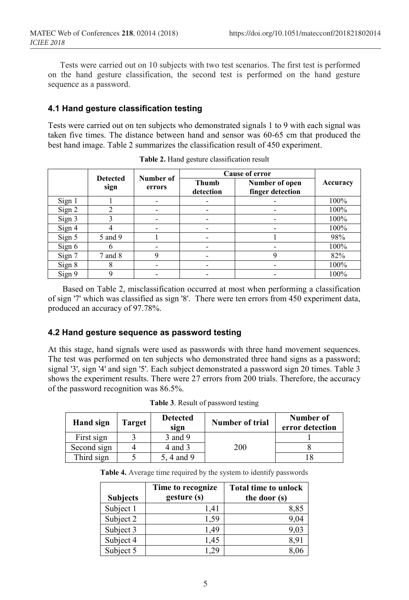Tests were carried out on 10 subjects with two test scenarios. The first test is performed on the hand gesture classification, the second test is performed on the hand gesture sequence as a password.

#### **4.1 Hand gesture classification testing**

Tests were carried out on ten subjects who demonstrated signals 1 to 9 with each signal was taken five times. The distance between hand and sensor was 60-65 cm that produced the best hand image. Table 2 summarizes the classification result of 450 experiment.

|                         |                     |                           |                                    | Cause of error           |      |
|-------------------------|---------------------|---------------------------|------------------------------------|--------------------------|------|
| <b>Detected</b><br>sign | Number of<br>errors | <b>Thumb</b><br>detection | Number of open<br>finger detection | Accuracy                 |      |
| Sign 1                  |                     |                           |                                    |                          | 100% |
| Sign 2                  | ↑                   |                           |                                    |                          | 100% |
| Sign 3                  |                     |                           |                                    |                          | 100% |
| Sign 4                  |                     |                           |                                    |                          | 100% |
| Sign 5                  | 5 and 9             |                           |                                    |                          | 98%  |
| Sign 6                  | n                   |                           |                                    | -                        | 100% |
| Sign 7                  | 7 and 8             | 9                         |                                    | 9                        | 82%  |
| Sign 8                  | Δ                   |                           |                                    | $\overline{\phantom{0}}$ | 100% |
| Sign 9                  | Q                   |                           |                                    |                          | 100% |

**Table 2.** Hand gesture classification result

Based on Table 2, misclassification occurred at most when performing a classification of sign '7' which was classified as sign '8'. There were ten errors from 450 experiment data, produced an accuracy of 97.78%.

#### **4.2 Hand gesture sequence as password testing**

At this stage, hand signals were used as passwords with three hand movement sequences. The test was performed on ten subjects who demonstrated three hand signs as a password; signal '3', sign '4' and sign '5'. Each subject demonstrated a password sign 20 times. Table 3 shows the experiment results. There were 27 errors from 200 trials. Therefore, the accuracy of the password recognition was 86.5%.

| Hand sign   | <b>Target</b> | <b>Detected</b><br>sign | <b>Number of trial</b> | Number of<br>error detection |
|-------------|---------------|-------------------------|------------------------|------------------------------|
| First sign  |               | 3 and 9                 |                        |                              |
| Second sign |               | 4 and 3                 | <b>200</b>             |                              |
| Third sign  |               | 5, 4 and 9              |                        |                              |

**Table 3**. Result of password testing

**Table 4.** Average time required by the system to identify passwords

| <b>Subjects</b> | Time to recognize<br>gesture (s) | <b>Total time to unlock</b><br>the door (s) |
|-----------------|----------------------------------|---------------------------------------------|
| Subject 1       | 1.41                             | 8.85                                        |
| Subject 2       | 1.59                             | 9,04                                        |
| Subject 3       | 1.49                             | 9.03                                        |
| Subject 4       | 1.45                             | 8.91                                        |
| Subject 5       | 129                              |                                             |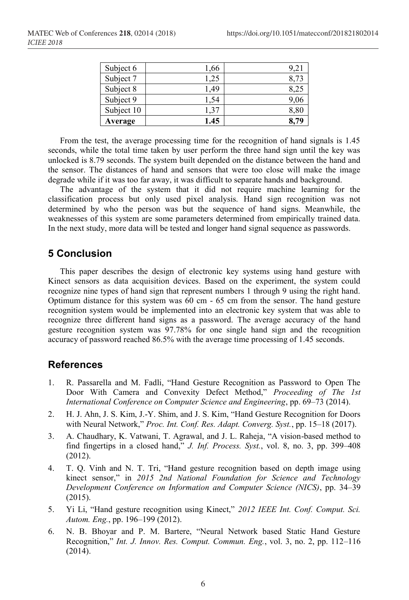| Subject 10<br>Average | 1.37<br>1.45 | 8,80<br>8,79 |
|-----------------------|--------------|--------------|
| Subject 9             | 1.54         | 9,06         |
| Subject 8             | .49          |              |
| Subject 7             | .25          |              |
| Subject 6             | 1,66         | 9.2          |

From the test, the average processing time for the recognition of hand signals is 1.45 seconds, while the total time taken by user perform the three hand sign until the key was unlocked is 8.79 seconds. The system built depended on the distance between the hand and the sensor. The distances of hand and sensors that were too close will make the image degrade while if it was too far away, it was difficult to separate hands and background.

The advantage of the system that it did not require machine learning for the classification process but only used pixel analysis. Hand sign recognition was not determined by who the person was but the sequence of hand signs. Meanwhile, the weaknesses of this system are some parameters determined from empirically trained data. In the next study, more data will be tested and longer hand signal sequence as passwords.

# **5 Conclusion**

This paper describes the design of electronic key systems using hand gesture with Kinect sensors as data acquisition devices. Based on the experiment, the system could recognize nine types of hand sign that represent numbers 1 through 9 using the right hand. Optimum distance for this system was 60 cm - 65 cm from the sensor. The hand gesture recognition system would be implemented into an electronic key system that was able to recognize three different hand signs as a password. The average accuracy of the hand gesture recognition system was 97.78% for one single hand sign and the recognition accuracy of password reached 86.5% with the average time processing of 1.45 seconds.

### **References**

- 1. R. Passarella and M. Fadli, "Hand Gesture Recognition as Password to Open The Door With Camera and Convexity Defect Method," *Proceeding of The 1st International Conference on Computer Science and Engineering*, pp. 69–73 (2014).
- 2. H. J. Ahn, J. S. Kim, J.-Y. Shim, and J. S. Kim, "Hand Gesture Recognition for Doors with Neural Network," *Proc. Int. Conf. Res. Adapt. Converg. Syst.*, pp. 15–18 (2017).
- 3. A. Chaudhary, K. Vatwani, T. Agrawal, and J. L. Raheja, "A vision-based method to find fingertips in a closed hand," *J. Inf. Process. Syst.*, vol. 8, no. 3, pp. 399–408 (2012).
- 4. T. Q. Vinh and N. T. Tri, "Hand gesture recognition based on depth image using kinect sensor," in *2015 2nd National Foundation for Science and Technology Development Conference on Information and Computer Science (NICS)*, pp. 34–39 (2015).
- 5. Yi Li, "Hand gesture recognition using Kinect," *2012 IEEE Int. Conf. Comput. Sci. Autom. Eng.*, pp. 196–199 (2012).
- 6. N. B. Bhoyar and P. M. Bartere, "Neural Network based Static Hand Gesture Recognition," *Int. J. Innov. Res. Comput. Commun. Eng.*, vol. 3, no. 2, pp. 112–116 (2014).